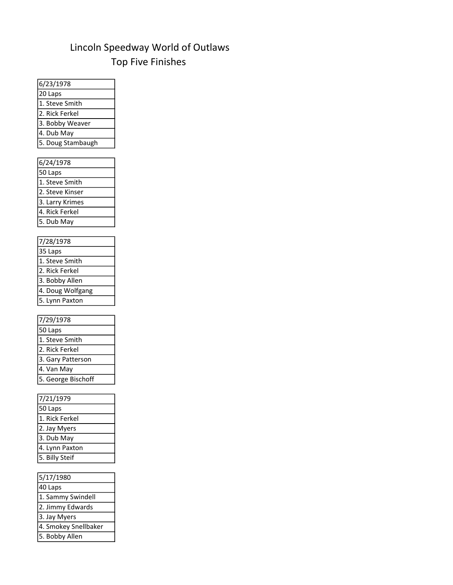## Lincoln Speedway World of Outlaws Top Five Finishes

| 6/23/1978                         |
|-----------------------------------|
| 20 Laps                           |
| 1. Steve Smith                    |
| 2. Rick Ferkel                    |
| 3. Bobby Weaver                   |
| 4. Dub May                        |
| 5. Doug Stambaugh                 |
|                                   |
| 6/24/1978                         |
| 50 Laps                           |
| 1. Steve Smith                    |
| 2. Steve Kinser                   |
| 3. Larry Krimes<br>4. Rick Ferkel |
|                                   |
| 5. Dub May                        |
|                                   |
| 7/28/1978                         |
| 35 Laps                           |
| 1. Steve Smith                    |
| 2. Rick Ferkel<br>3. Bobby Allen  |
| 4. Doug Wolfgang                  |
| 5. Lynn Paxton                    |
|                                   |
| 7/29/1978                         |
| 50 Laps                           |
| 1. Steve Smith                    |
| 2. Rick Ferkel                    |
| 3. Gary Patterson                 |
| 4. Van May                        |
| 5. George Bischoff                |
|                                   |
| 7/21/1979                         |
| 50 Laps                           |
| 1. Rick Ferkel                    |
| 2. Jay Myers                      |
| _<br>3. Dub May                   |
| 4. Lynn Paxton                    |
| 5. Billy Steif                    |
|                                   |
| 5/17/1980                         |
|                                   |

| 40 Laps              |
|----------------------|
| 1. Sammy Swindell    |
| 2. Jimmy Edwards     |
| 3. Jay Myers         |
| 4. Smokey Snellbaker |
| 5. Bobby Allen       |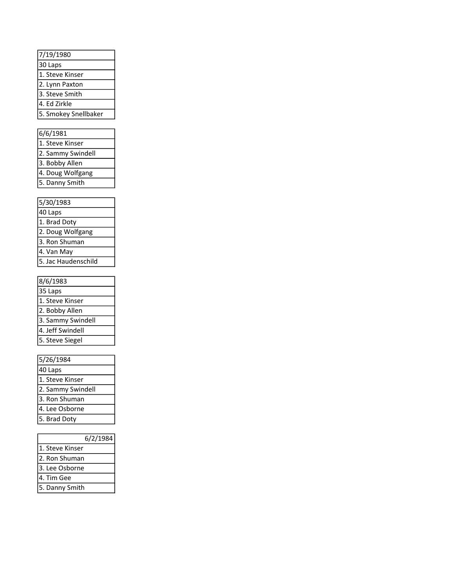| 7/19/1980            |
|----------------------|
| 30 Laps              |
| 1. Steve Kinser      |
| 2. Lynn Paxton       |
| 3. Steve Smith       |
| 4. Ed Zirkle         |
| 5. Smokey Snellbaker |
|                      |

| 6/6/1981<br>1. Steve Kinser<br>2. Sammy Swindell<br>3. Bobby Allen<br>4. Doug Wolfgang<br>5. Danny Smith<br>5/30/1983<br>40 Laps<br>1. Brad Doty<br>2. Doug Wolfgang<br>3. Ron Shuman<br>4. Van May<br>5. Jac Haudenschild<br>8/6/1983<br>35 Laps<br>1. Steve Kinser<br>2. Bobby Allen<br>3. Sammy Swindell<br>4. Jeff Swindell<br>5. Steve Siegel<br>5/26/1984<br>40 Laps<br>1. Steve Kinser<br>2. Sammy Swindell<br>3. Ron Shuman<br>4. Lee Osborne |
|-------------------------------------------------------------------------------------------------------------------------------------------------------------------------------------------------------------------------------------------------------------------------------------------------------------------------------------------------------------------------------------------------------------------------------------------------------|
|                                                                                                                                                                                                                                                                                                                                                                                                                                                       |
|                                                                                                                                                                                                                                                                                                                                                                                                                                                       |
|                                                                                                                                                                                                                                                                                                                                                                                                                                                       |
|                                                                                                                                                                                                                                                                                                                                                                                                                                                       |
|                                                                                                                                                                                                                                                                                                                                                                                                                                                       |
|                                                                                                                                                                                                                                                                                                                                                                                                                                                       |
|                                                                                                                                                                                                                                                                                                                                                                                                                                                       |
|                                                                                                                                                                                                                                                                                                                                                                                                                                                       |
|                                                                                                                                                                                                                                                                                                                                                                                                                                                       |
|                                                                                                                                                                                                                                                                                                                                                                                                                                                       |
|                                                                                                                                                                                                                                                                                                                                                                                                                                                       |
|                                                                                                                                                                                                                                                                                                                                                                                                                                                       |
|                                                                                                                                                                                                                                                                                                                                                                                                                                                       |
|                                                                                                                                                                                                                                                                                                                                                                                                                                                       |
|                                                                                                                                                                                                                                                                                                                                                                                                                                                       |
|                                                                                                                                                                                                                                                                                                                                                                                                                                                       |
|                                                                                                                                                                                                                                                                                                                                                                                                                                                       |
|                                                                                                                                                                                                                                                                                                                                                                                                                                                       |
|                                                                                                                                                                                                                                                                                                                                                                                                                                                       |
|                                                                                                                                                                                                                                                                                                                                                                                                                                                       |
|                                                                                                                                                                                                                                                                                                                                                                                                                                                       |
|                                                                                                                                                                                                                                                                                                                                                                                                                                                       |
|                                                                                                                                                                                                                                                                                                                                                                                                                                                       |
|                                                                                                                                                                                                                                                                                                                                                                                                                                                       |
|                                                                                                                                                                                                                                                                                                                                                                                                                                                       |
|                                                                                                                                                                                                                                                                                                                                                                                                                                                       |
|                                                                                                                                                                                                                                                                                                                                                                                                                                                       |
|                                                                                                                                                                                                                                                                                                                                                                                                                                                       |
|                                                                                                                                                                                                                                                                                                                                                                                                                                                       |
| 5. Brad Doty                                                                                                                                                                                                                                                                                                                                                                                                                                          |

| 5/30/1983           |
|---------------------|
| $40$ Laps           |
| 1. Brad Doty        |
| 2. Doug Wolfgang    |
| 3. Ron Shuman       |
| 4. Van May          |
| 5. Jac Haudenschild |

| 8/6/1983          |
|-------------------|
| 35 Laps           |
| 1. Steve Kinser   |
| 2. Bobby Allen    |
| 3. Sammy Swindell |
| 4. Jeff Swindell  |
| 5. Steve Siegel   |
|                   |

| 5/26/1984         |
|-------------------|
| 40 Laps           |
| 1. Steve Kinser   |
| 2. Sammy Swindell |
| 3. Ron Shuman     |
| 4. Lee Osborne    |
| 5. Brad Doty      |
|                   |

| 6/2/1984        |
|-----------------|
| 1. Steve Kinser |
| 2. Ron Shuman   |
| 3. Lee Osborne  |
| 4. Tim Gee      |
| 5. Danny Smith  |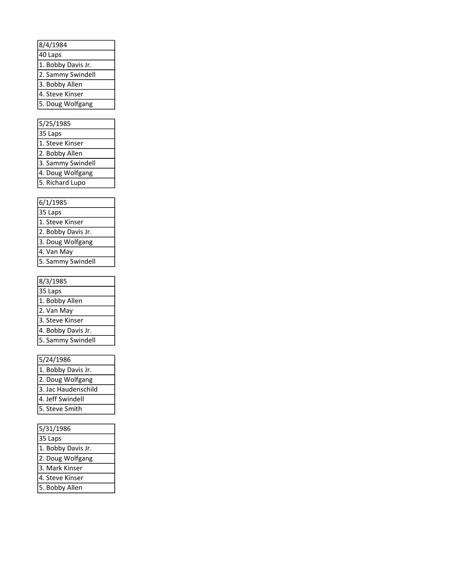| 8/4/1984           |
|--------------------|
| 40 Laps            |
| 1. Bobby Davis Jr. |
| 2. Sammy Swindell  |
| 3. Bobby Allen     |
| 4. Steve Kinser    |
| 5. Doug Wolfgang   |
|                    |

| 5/25/1985         |
|-------------------|
| 35 Laps           |
| 1. Steve Kinser   |
| 2. Bobby Allen    |
| 3. Sammy Swindell |
| 4. Doug Wolfgang  |
| 5. Richard Lupo   |

| 6/1/1985           |
|--------------------|
| $35$ Laps          |
| 1. Steve Kinser    |
| 2. Bobby Davis Jr. |
| 3. Doug Wolfgang   |
| 4. Van May         |
| 5. Sammy Swindell  |

| 6/1/1985           |
|--------------------|
| 35 Laps            |
| 1. Steve Kinser    |
| 2. Bobby Davis Jr. |
| 3. Doug Wolfgang   |
| 4. Van May         |
| 5. Sammy Swindell  |
|                    |
| 8/3/1985           |
| 35 Laps            |
| 1. Bobby Allen     |
| 2. Van May         |
| 3. Steve Kinser    |
| 4. Bobby Davis Jr. |
| 5. Sammy Swindell  |
|                    |

## 5/24/1986

| 1. Bobby Davis Jr.  |
|---------------------|
| 2. Doug Wolfgang    |
| 3. Jac Haudenschild |
| 4. Jeff Swindell    |
| 5. Steve Smith      |
|                     |

| 5/31/1986          |
|--------------------|
| 35 Laps            |
| 1. Bobby Davis Jr. |
| 2. Doug Wolfgang   |
| 3. Mark Kinser     |
| 4. Steve Kinser    |
| 5. Bobby Allen     |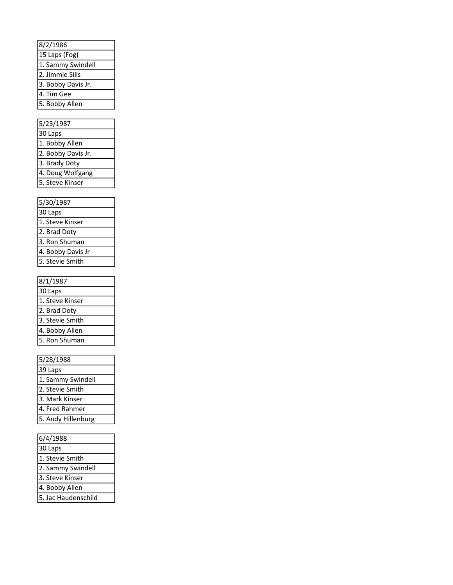| 8/2/1986           |
|--------------------|
| 15 Laps (Fog)      |
| 1. Sammy Swindell  |
| 2. Jimmie Sills    |
| 3. Bobby Davis Jr. |
| 4. Tim Gee         |
| 5. Bobby Allen     |

| 8/2/1986                              |
|---------------------------------------|
| 15 Laps (Fog)                         |
| 1. Sammy Swindell                     |
| 2. Jimmie Sills                       |
| 3. Bobby Davis Jr.                    |
| 4. Tim Gee                            |
| 5. Bobby Allen                        |
|                                       |
| 5/23/1987                             |
| 30 Laps                               |
| 1. Bobby Allen                        |
|                                       |
| 2. Bobby Davis Jr.                    |
| 3. Brady Doty                         |
| 4. Doug Wolfgang                      |
| 5. Steve Kinser                       |
|                                       |
| 5/30/1987                             |
| 30 Laps                               |
| 1. Steve Kinser                       |
| 2. Brad Doty                          |
| 3. Ron Shuman                         |
| 4. Bobby Davis Jr                     |
| 5. Stevie Smith                       |
|                                       |
|                                       |
|                                       |
| 8/1/1987                              |
| 30 Laps                               |
| 1. Steve Kinser                       |
| 2. Brad Doty                          |
| 3. Stevie Smith                       |
| 4. Bobby Allen                        |
| 5. Ron Shuman                         |
|                                       |
| 5/28/1988                             |
| 39 Laps                               |
| 1. Sammy Swindell                     |
| 2. Stevie Smith                       |
| 3. Mark Kinser                        |
| 4. Fred Rahmer                        |
| 5. Andy Hillenburg                    |
|                                       |
| 6/4/1988                              |
|                                       |
| 30 Laps                               |
| 1. Stevie Smith                       |
| 2. Sammy Swindell                     |
| 3. Steve Kinser                       |
| 4. Bobby Allen<br>5. Jac Haudenschild |

| 5/30/1987         |
|-------------------|
| 30 Laps           |
| 1. Steve Kinser   |
| 2. Brad Doty      |
| 3. Ron Shuman     |
| 4. Bobby Davis Jr |
| 5. Stevie Smith   |

| 8/1/1987        |
|-----------------|
| 30 Laps         |
| 1. Steve Kinser |
| 2. Brad Doty    |
| 3. Stevie Smith |
| 4. Bobby Allen  |
| 5. Ron Shuman   |
|                 |

| 5/28/1988          |
|--------------------|
| 39 Laps            |
| 1. Sammy Swindell  |
| 2. Stevie Smith    |
| 3. Mark Kinser     |
| 4. Fred Rahmer     |
| 5. Andy Hillenburg |
|                    |

| 6/4/1988            |
|---------------------|
| 30 Laps             |
| 1. Stevie Smith     |
| 2. Sammy Swindell   |
| 3. Steve Kinser     |
| 4. Bobby Allen      |
| 5. Jac Haudenschild |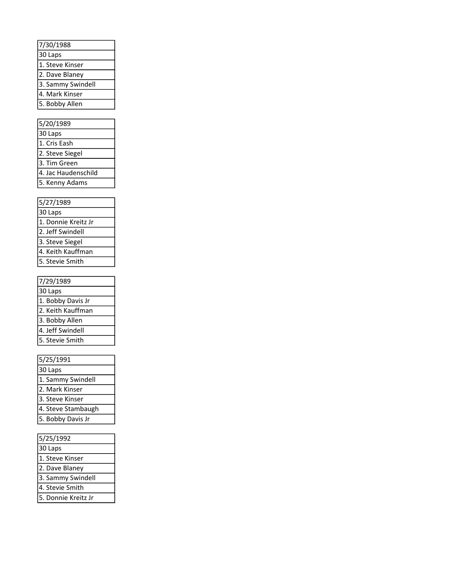| 7/30/1988         |
|-------------------|
| 30 Laps           |
| 1. Steve Kinser   |
| 2. Dave Blaney    |
| 3. Sammy Swindell |
| 4. Mark Kinser    |
| 5. Bobby Allen    |
|                   |

| 7/30/1988                                 |
|-------------------------------------------|
| 30 Laps                                   |
| 1. Steve Kinser                           |
| 2. Dave Blaney                            |
| 3. Sammy Swindell                         |
| 4. Mark Kinser                            |
| 5. Bobby Allen                            |
|                                           |
| 5/20/1989                                 |
| 30 Laps                                   |
| 1. Cris Eash                              |
| 2. Steve Siegel                           |
| 3. Tim Green                              |
| 4. Jac Haudenschild                       |
| 5. Kenny Adams                            |
|                                           |
| 5/27/1989                                 |
| 30 Laps                                   |
| 1. Donnie Kreitz Jr                       |
| 2. Jeff Swindell                          |
| 3. Steve Siegel                           |
| 4. Keith Kauffman                         |
| 5. Stevie Smith                           |
| 7/29/1989                                 |
| 30 Laps                                   |
| 1. Bobby Davis Jr                         |
| 2. Keith Kauffman                         |
|                                           |
| 3. Bobby Allen<br>4. Jeff Swindell        |
| 5. Stevie Smith                           |
|                                           |
| 5/25/1991                                 |
| 30 Laps                                   |
| 1. Sammy Swindell                         |
| 2. Mark Kinser                            |
| 3. Steve Kinser                           |
| 4. Steve Stambaugh                        |
| $\overline{5}$ .<br><b>Bobby Davis Jr</b> |
|                                           |
| 5/25/1992                                 |
| 30 Laps                                   |
| 1. Steve Kinser                           |
| 2. Dave Blaney                            |
| 3. Sammy Swindell                         |
| 4. Stevie Smith                           |
| 5. Donnie Kreitz Jr                       |
|                                           |

| 5/27/1989           |
|---------------------|
| 30 Laps             |
| 1. Donnie Kreitz Jr |
| 2. Jeff Swindell    |
| 3. Steve Siegel     |
| 4. Keith Kauffman   |
| 5. Stevie Smith     |

| 7/29/1989         |
|-------------------|
| 30 Laps           |
| 1. Bobby Davis Jr |
| 2. Keith Kauffman |
| 3. Bobby Allen    |
| 4. Jeff Swindell  |
| 5. Stevie Smith   |

| 5/25/1991          |
|--------------------|
| 30 Laps            |
| 1. Sammy Swindell  |
| 2. Mark Kinser     |
| 3. Steve Kinser    |
| 4. Steve Stambaugh |
| 5. Bobby Davis Jr  |
|                    |

| 5/25/1992           |
|---------------------|
| 30 Laps             |
| 1. Steve Kinser     |
| 2. Dave Blaney      |
| 3. Sammy Swindell   |
| 4. Stevie Smith     |
| 5. Donnie Kreitz Jr |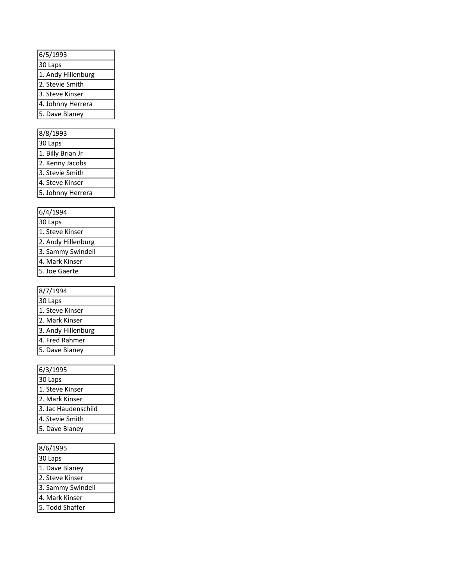| 6/5/1993           |
|--------------------|
| 30 Laps            |
| 1. Andy Hillenburg |
| 2. Stevie Smith    |
| 3. Steve Kinser    |
| 4. Johnny Herrera  |
| 5. Dave Blaney     |

| 8/8/1993          |
|-------------------|
| 30 Laps           |
| 1. Billy Brian Jr |
| 2. Kenny Jacobs   |
| 3. Stevie Smith   |
| 4. Steve Kinser   |
| 5. Johnny Herrera |

| 6/4/1994           |
|--------------------|
| 30 Laps            |
| 1. Steve Kinser    |
| 2. Andy Hillenburg |
| 3. Sammy Swindell  |
| 4. Mark Kinser     |
| 5. Joe Gaerte      |

| 8/7/1994           |
|--------------------|
| 30 Laps            |
| 1. Steve Kinser    |
| 2. Mark Kinser     |
| 3. Andy Hillenburg |
| 4. Fred Rahmer     |
| 5. Dave Blaney     |
|                    |

| 6/5/1993             |
|----------------------|
| 30 Laps              |
| 1. Andy Hillenburg   |
| 2. Stevie Smith      |
| 3. Steve Kinser      |
| 4. Johnny Herrera    |
| 5. Dave Blaney       |
|                      |
| 8/8/1993             |
| $30 \text{ Laps}$    |
| 1. Billy Brian Jr    |
| 2. Kenny Jacobs      |
|                      |
| 3. Stevie Smith      |
| 4. Steve Kinser      |
| 5. Johnny Herrera    |
|                      |
| 6/4/1994             |
| $30 \text{ Laps}$    |
| 1. Steve Kinser      |
| 2. Andy Hillenburg   |
| 3. Sammy Swindell    |
| 4. Mark Kinser       |
| 5. Joe Gaerte        |
|                      |
| 8/7/1994             |
| 30 Laps              |
| 1. Steve Kinser      |
| 2. Mark Kinser       |
| 3. Andy Hillenburg   |
| 4. Fred Rahmer       |
| 5. Dave Blaney       |
|                      |
| 6/3/1995             |
| 30 Laps              |
| 1. Steve Kinser      |
| Mark Kinser<br>2.    |
| 3. Jac Haudenschild  |
| Stevie Smith<br>4.   |
| Dave Blaney          |
|                      |
|                      |
| 8/6/1995             |
| 30 Laps              |
| 1.<br>Dave Blaney    |
| Steve Kinser         |
| 3.<br>Sammy Swindell |
| 4. Mark Kinser       |
| 5. Todd Shaffer      |
|                      |

| 8/6/1995          |
|-------------------|
| 30 Laps           |
| 1. Dave Blaney    |
| 2. Steve Kinser   |
| 3. Sammy Swindell |
| 4. Mark Kinser    |
| 5. Todd Shaffer   |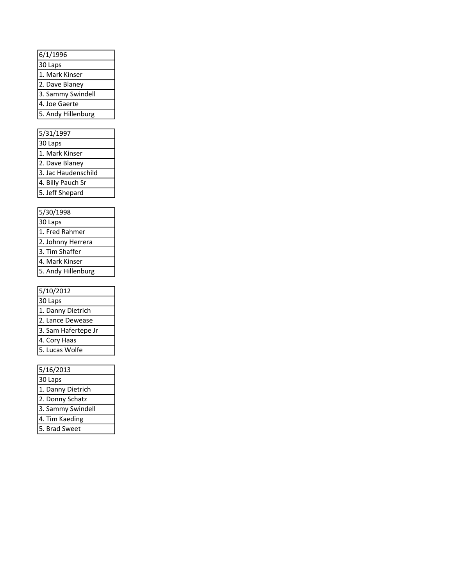| 6/1/1996           |  |
|--------------------|--|
| 30 Laps            |  |
| 1. Mark Kinser     |  |
| 2. Dave Blaney     |  |
| 3. Sammy Swindell  |  |
| 4. Joe Gaerte      |  |
| 5. Andy Hillenburg |  |

| 5/31/1997           |
|---------------------|
| 30 Laps             |
| 1. Mark Kinser      |
| 2. Dave Blaney      |
| 3. Jac Haudenschild |
| 4. Billy Pauch Sr   |
| 5. Jeff Shepard     |

| 5/30/1998          |
|--------------------|
| 30 Laps            |
| 1. Fred Rahmer     |
| 2. Johnny Herrera  |
| 3. Tim Shaffer     |
| 4. Mark Kinser     |
| 5. Andy Hillenburg |

| 5/10/2012           |
|---------------------|
| 30 Laps             |
| 1. Danny Dietrich   |
| 2. Lance Dewease    |
| 3. Sam Hafertepe Jr |
| 4. Cory Haas        |
| 5. Lucas Wolfe      |
|                     |

| <u>u 11 730</u>                      |
|--------------------------------------|
| $\frac{6}{30 \text{ Laps}}$          |
| 1. Mark Kinser                       |
| 2. Dave Blaney                       |
| 3. Sammy Swindell                    |
| 4. Joe Gaerte                        |
| 5. Andy Hillenburg                   |
|                                      |
| 5/31/1997                            |
| 30 Laps                              |
| 1. Mark Kinser                       |
| 2. Dave Blaney                       |
| 3. Jac Haudenschild                  |
| 4. Billy Pauch Sr                    |
| 5. Jeff Shepard                      |
|                                      |
| 5/30/1998                            |
| 30 Laps                              |
| 1. Fred Rahmer                       |
| 2. Johnny Herrera                    |
| 3. Tim Shaffer                       |
| 4. Mark Kinser                       |
| 5. Andy Hillenburg                   |
|                                      |
| 5/10/2012                            |
| 30 Laps                              |
| 1. Danny Dietrich                    |
| 2. Lance Dewease                     |
| Sam Hafertepe Jr<br>$\overline{3}$ . |
| 4. Cory Haas                         |
| 5. Lucas Wolfe                       |
|                                      |
| 5/16/2013                            |
| 30 Laps                              |
| 1. Danny Dietrich                    |
| 2. Donny Schatz                      |
| 3. Sammy Swindell                    |
| 4. Tim Kaeding                       |
| 5. Brad Sweet                        |
|                                      |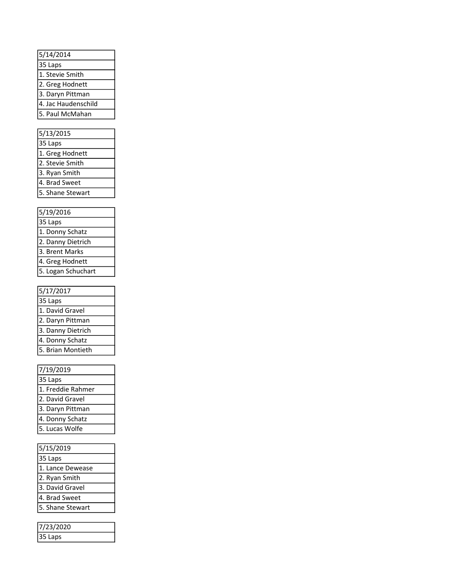| 5/14/2014           |
|---------------------|
| $35$ Laps           |
| 1. Stevie Smith     |
| 2. Greg Hodnett     |
| 3. Daryn Pittman    |
| 4. Jac Haudenschild |
| 5. Paul McMahan     |
|                     |

| 5/13/2015        |
|------------------|
| 35 Laps          |
| 1. Greg Hodnett  |
| 2. Stevie Smith  |
| 3. Ryan Smith    |
| 4. Brad Sweet    |
| 5. Shane Stewart |

| 5/19/2016          |
|--------------------|
| 35 Laps            |
| 1. Donny Schatz    |
| 2. Danny Dietrich  |
| 3. Brent Marks     |
| 4. Greg Hodnett    |
| 5. Logan Schuchart |

| 5/17/2017         |
|-------------------|
| 35 Laps           |
| 1. David Gravel   |
| 2. Daryn Pittman  |
| 3. Danny Dietrich |
| 4. Donny Schatz   |
| 5. Brian Montieth |
|                   |

| 5/14/2014                           |
|-------------------------------------|
| 35 Laps                             |
| 1. Stevie Smith                     |
| 2. Greg Hodnett                     |
| 3. Daryn Pittman                    |
| 4. Jac Haudenschild                 |
| 5. Paul McMahan                     |
|                                     |
| 5/13/2015                           |
| 35 Laps                             |
| 1. Greg Hodnett                     |
| 2. Stevie Smith                     |
| 3. Ryan Smith<br>4. Brad Sweet      |
|                                     |
| 5. Shane Stewart                    |
|                                     |
| 5/19/2016                           |
|                                     |
| 35 Laps<br>1. Donny Schatz          |
|                                     |
| 2. Danny Dietrich<br>3. Brent Marks |
|                                     |
| 4. Greg Hodnett                     |
| 5. Logan Schuchart                  |
|                                     |
| 5/17/2017                           |
| 35 Laps<br>1. David Gravel          |
|                                     |
| 2. Daryn Pittman                    |
| 3. Danny Dietrich                   |
| 4. Donny Schatz                     |
| 5. Brian Montieth                   |
|                                     |
| 7/19/2019                           |
| 35 Laps                             |
| 1. Freddie Rahmer                   |
| 2. David Gravel                     |
| 3. Daryn Pittman                    |
| 4. Donny Schatz                     |
| 5. Lucas Wolfe                      |
|                                     |
| 5/15/2019                           |
| 35 Laps                             |
| $\mathbf{1}$<br>Lance Dewease       |
| 2. Ryan Smith                       |
| 3. David Gravel                     |
| 4. Brad Sweet                       |
| 5. Shane Stewart                    |
|                                     |
| 7/23/2020                           |
| 35 Laps                             |
|                                     |

| 5/15/2019        |
|------------------|
| 35 Laps          |
| 1. Lance Dewease |
| 2. Ryan Smith    |
| 3. David Gravel  |
| 4. Brad Sweet    |
| 5. Shane Stewart |
|                  |

| 7/23/2020 |  |
|-----------|--|
| 35 Laps   |  |